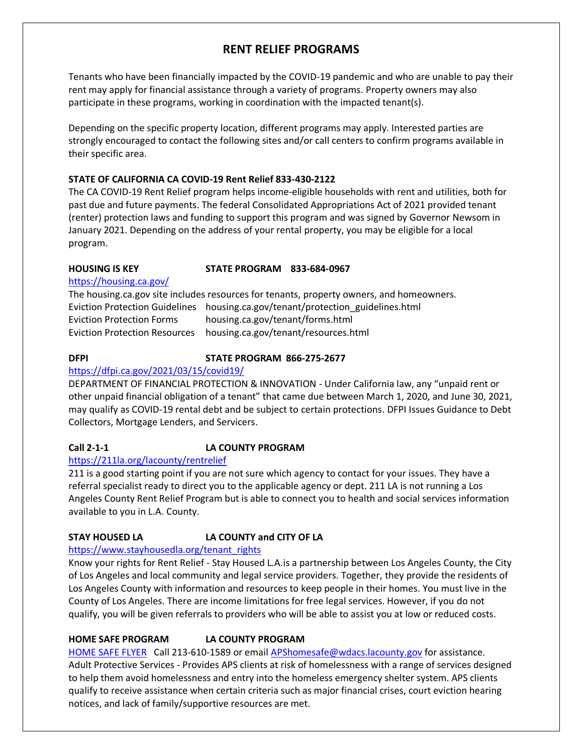# **RENT RELIEF PROGRAMS**

Tenants who have been financially impacted by the COVID-19 pandemic and who are unable to pay their rent may apply for financial assistance through a variety of programs. Property owners may also participate in these programs, working in coordination with the impacted tenant(s).

Depending on the specific property location, different programs may apply. Interested parties are strongly encouraged to contact the following sites and/or call centers to confirm programs available in their specific area.

### **STATE OF CALIFORNIA CA COVID-19 Rent Relief 833-430-2122**

The CA COVID-19 Rent Relief program helps income-eligible households with rent and utilities, both for past due and future payments. The federal Consolidated Appropriations Act of 2021 provided tenant (renter) protection laws and funding to support this program and was signed by Governor Newsom in January 2021. Depending on the address of your rental property, you may be eligible for a local program.

#### **HOUSING IS KEY STATE PROGRAM 833-684-0967**

<https://housing.ca.gov/>

The housing.ca.gov site includes resources for tenants, property owners, and homeowners. Eviction Protection Guidelines housing.ca.gov/tenant/protection\_guidelines.html Eviction Protection Forms housing.ca.gov/tenant/forms.html Eviction Protection Resources housing.ca.gov/tenant/resources.html

#### **DFPI STATE PROGRAM 866-275-2677**

#### <https://dfpi.ca.gov/2021/03/15/covid19/>

DEPARTMENT OF FINANCIAL PROTECTION & INNOVATION - Under California law, any "unpaid rent or other unpaid financial obligation of a tenant" that came due between March 1, 2020, and June 30, 2021, may qualify as COVID-19 rental debt and be subject to certain protections. DFPI Issues Guidance to Debt Collectors, Mortgage Lenders, and Servicers.

# **Call 2-1-1 LA COUNTY PROGRAM**

#### <https://211la.org/lacounty/rentrelief>

211 is a good starting point if you are not sure which agency to contact for your issues. They have a referral specialist ready to direct you to the applicable agency or dept. 211 LA is not running a Los Angeles County Rent Relief Program but is able to connect you to health and social services information available to you in L.A. County.

### **STAY HOUSED LA LA COUNTY and CITY OF LA**

#### [https://www.stayhousedla.org/tenant\\_rights](https://www.stayhousedla.org/tenant_rights)

Know your rights for Rent Relief - Stay Housed L.A.is a partnership between Los Angeles County, the City of Los Angeles and local community and legal service providers. Together, they provide the residents of Los Angeles County with information and resources to keep people in their homes. You must live in the County of Los Angeles. There are income limitations for free legal services. However, if you do not qualify, you will be given referrals to providers who will be able to assist you at low or reduced costs.

### **HOME SAFE PROGRAM LA COUNTY PROGRAM**

[HOME SAFE FLYER](https://www.lacda.org/docs/librariesprovider25/default-document-library/home-safe-flyer-4-20-21.pdf?sfvrsn=1f5960bc_0) Call 213-610-1589 or email [APShomesafe@wdacs.lacounty.gov](mailto:APShomesafe@wdacs.lacounty.gov) for assistance. Adult Protective Services - Provides APS clients at risk of homelessness with a range of services designed to help them avoid homelessness and entry into the homeless emergency shelter system. APS clients qualify to receive assistance when certain criteria such as major financial crises, court eviction hearing notices, and lack of family/supportive resources are met.